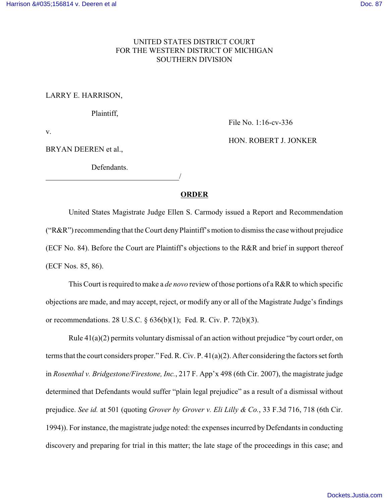## UNITED STATES DISTRICT COURT FOR THE WESTERN DISTRICT OF MICHIGAN SOUTHERN DIVISION

## LARRY E. HARRISON,

Plaintiff,

File No. 1:16-cv-336

v.

BRYAN DEEREN et al.,

Defendants.

/

HON. ROBERT J. JONKER

## **ORDER**

United States Magistrate Judge Ellen S. Carmody issued a Report and Recommendation ("R&R") recommending that the Court denyPlaintiff's motion to dismiss the case without prejudice (ECF No. 84). Before the Court are Plaintiff's objections to the R&R and brief in support thereof (ECF Nos. 85, 86).

This Court is required to make a *de novo* review of those portions of a R&R to which specific objections are made, and may accept, reject, or modify any or all of the Magistrate Judge's findings or recommendations. 28 U.S.C. § 636(b)(1); Fed. R. Civ. P. 72(b)(3).

Rule 41(a)(2) permits voluntary dismissal of an action without prejudice "by court order, on terms that the court considers proper." Fed. R. Civ. P. 41(a)(2). After considering the factors set forth in *Rosenthal v. Bridgestone/Firestone, Inc.*, 217 F. App'x 498 (6th Cir. 2007), the magistrate judge determined that Defendants would suffer "plain legal prejudice" as a result of a dismissal without prejudice. *See id.* at 501 (quoting *Grover by Grover v. Eli Lilly & Co.*, 33 F.3d 716, 718 (6th Cir. 1994)). For instance, the magistrate judge noted: the expenses incurred byDefendants in conducting discovery and preparing for trial in this matter; the late stage of the proceedings in this case; and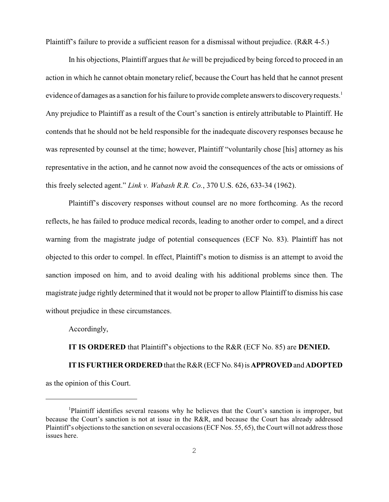Plaintiff's failure to provide a sufficient reason for a dismissal without prejudice. (R&R 4-5.)

In his objections, Plaintiff argues that *he* will be prejudiced by being forced to proceed in an action in which he cannot obtain monetary relief, because the Court has held that he cannot present evidence of damages as a sanction for his failure to provide complete answers to discovery requests.<sup>1</sup> Any prejudice to Plaintiff as a result of the Court's sanction is entirely attributable to Plaintiff. He contends that he should not be held responsible for the inadequate discovery responses because he was represented by counsel at the time; however, Plaintiff "voluntarily chose [his] attorney as his representative in the action, and he cannot now avoid the consequences of the acts or omissions of this freely selected agent." *Link v. Wabash R.R. Co.*, 370 U.S. 626, 633-34 (1962).

Plaintiff's discovery responses without counsel are no more forthcoming. As the record reflects, he has failed to produce medical records, leading to another order to compel, and a direct warning from the magistrate judge of potential consequences (ECF No. 83). Plaintiff has not objected to this order to compel. In effect, Plaintiff's motion to dismiss is an attempt to avoid the sanction imposed on him, and to avoid dealing with his additional problems since then. The magistrate judge rightly determined that it would not be proper to allow Plaintiff to dismiss his case without prejudice in these circumstances.

Accordingly,

**IT IS ORDERED** that Plaintiff's objections to the R&R (ECF No. 85) are **DENIED.**

**IT IS FURTHER ORDERED** that the R&R (ECFNo. 84)is**APPROVED**and **ADOPTED** as the opinion of this Court.

<sup>&</sup>lt;sup>1</sup>Plaintiff identifies several reasons why he believes that the Court's sanction is improper, but because the Court's sanction is not at issue in the R&R, and because the Court has already addressed Plaintiff's objections to the sanction on several occasions (ECF Nos. 55, 65), the Court will not address those issues here.